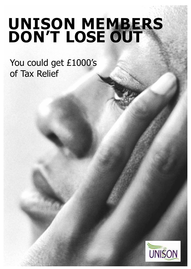# **UNISON MEMBERS DON'T LOSE OUT**

You could get £1000's of Tax Relief

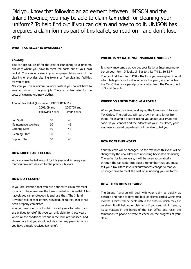Did you know that following an agreement between UNISON and the Inland Revenue, you may be able to claim tax relief for cleaning your uniform? To help find out if you can claim and how to do it, UNISON has prepared a claim form as part of this leaflet, so read on—and don't lose out!

#### **WHAT TAX RELIEF IS AVAILABLE?**

#### **Laundry**

You can get tax relief for the cost of laundering your uniform, but only where you have to meet the costs out of your own pocket. You cannot claim if your employer takes care of the cleaning or provides cleaning tokens or free cleaning facilities for you to use.

Nor can you claim uniform laundry costs if you do not have to wear a uniform to do your job. There is no tax relief for the costs of cleaning ordinary clothes.

#### Annual Tax Relief (£'s) under HMRC EIM32712

|                     | 2008/09 and            |                    |  |
|---------------------|------------------------|--------------------|--|
|                     | <b>Following Years</b> | <b>Prior Years</b> |  |
| Lab Staff           | 60                     | 45                 |  |
| Maintenance Workers | 60                     | 45                 |  |
| Catering Staff      | 60                     | 45                 |  |
| Cleaning Staff      | 60                     | 45                 |  |
| Support Staff       | 60                     | 45                 |  |
|                     |                        |                    |  |

#### **HOW MUCH CAN I CLAIM?**

You can claim the full amount for this year and for every year that you have not claimed for the previous 6 years.

#### **HOW DO I CLAIM?**

If you are satisfied that you are entitled to claim tax relief for any of the above, use the form provided in this leaflet. Alternatively you can photocopy it and use that. The Inland Revenue will accept either, provided, of course, that it has been properly completed.

You can use one form to claim for all years for which you are entitled to relief. But you can only claim for those years where all the conditions set out in the form are satisfied. And please note that you should not claim for any years for which you have already received tax relief.

#### **WHERE IS MY NATIONAL INSURANCE NUMBER?**

It is very important that you put your National Insurance number on your form. It looks similar to this: TN 11 10 53 F

You can find it on: form P60 – the form you were given in April which tells you your total income for the year., any letter from the Tax Office, your payslip or any letter from the Department of Social Security.

#### **WHERE DO I SEND THE CLAIM FORM?**

When you have completed and signed the form, send it to your Tax Office. The address will be shown on any letter from them, for example a letter telling you about your PAYE tax code. If you cannot find the address of your Tax Office, your employer's payroll department will be able to tell you.

#### **HOW DOES THIS WORK?**

Your tax code will be changed. So the tax taken this year will be changed by the new allowance (including backdated elements). Thereafter for future years, it will be given automatically through the tax code. But please remember that you must tell your Tax Office if your circumstances change so that you no longer have to meet the cost of laundering your uniforms.

#### **HOW LONG DOES IT TAKE?**

The Inland Revenue will deal with your claim as quickly as possible and hope to have the bulk of claims settled within two months. Claims will be dealt with in the order in which they are received. It will help other claimants if you can, within reason, leave matters in the hands of the Tax Office and resist the temptation to phone or write to check on the progress of your claim.